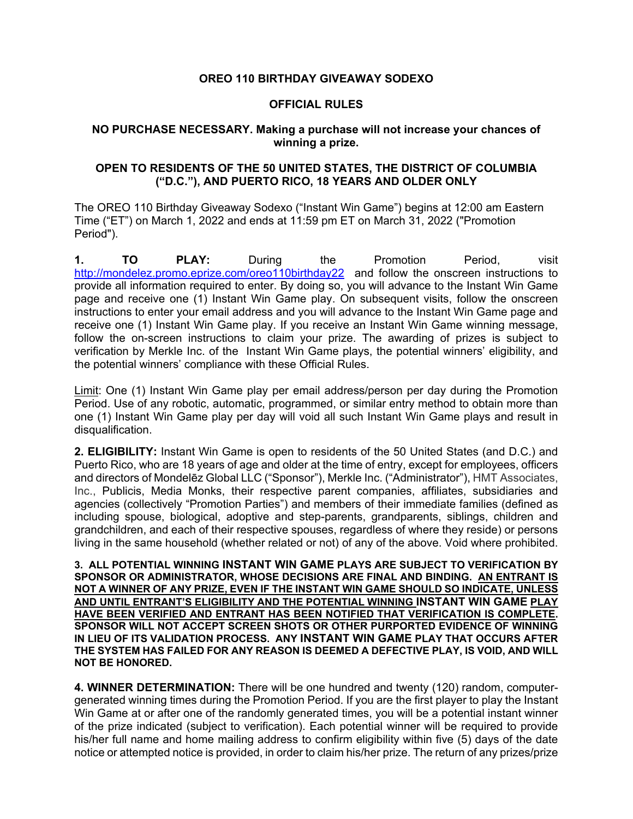## **OREO 110 BIRTHDAY GIVEAWAY SODEXO**

## **OFFICIAL RULES**

## **NO PURCHASE NECESSARY. Making a purchase will not increase your chances of winning a prize.**

## **OPEN TO RESIDENTS OF THE 50 UNITED STATES, THE DISTRICT OF COLUMBIA ("D.C."), AND PUERTO RICO, 18 YEARS AND OLDER ONLY**

The OREO 110 Birthday Giveaway Sodexo ("Instant Win Game") begins at 12:00 am Eastern Time ("ET") on March 1, 2022 and ends at 11:59 pm ET on March 31, 2022 ("Promotion Period").

**1. TO PLAY:** During the Promotion Period, visit <http://mondelez.promo.eprize.com/oreo110birthday22> and follow the onscreen instructions to provide all information required to enter. By doing so, you will advance to the Instant Win Game page and receive one (1) Instant Win Game play. On subsequent visits, follow the onscreen instructions to enter your email address and you will advance to the Instant Win Game page and receive one (1) Instant Win Game play. If you receive an Instant Win Game winning message, follow the on-screen instructions to claim your prize. The awarding of prizes is subject to verification by Merkle Inc. of the Instant Win Game plays, the potential winners' eligibility, and the potential winners' compliance with these Official Rules.

Limit: One (1) Instant Win Game play per email address/person per day during the Promotion Period. Use of any robotic, automatic, programmed, or similar entry method to obtain more than one (1) Instant Win Game play per day will void all such Instant Win Game plays and result in disqualification.

**2. ELIGIBILITY:** Instant Win Game is open to residents of the 50 United States (and D.C.) and Puerto Rico, who are 18 years of age and older at the time of entry, except for employees, officers and directors of Mondelēz Global LLC ("Sponsor"), Merkle Inc. ("Administrator"), HMT Associates, Inc., Publicis, Media Monks, their respective parent companies, affiliates, subsidiaries and agencies (collectively "Promotion Parties") and members of their immediate families (defined as including spouse, biological, adoptive and step-parents, grandparents, siblings, children and grandchildren, and each of their respective spouses, regardless of where they reside) or persons living in the same household (whether related or not) of any of the above. Void where prohibited.

**3. ALL POTENTIAL WINNING INSTANT WIN GAME PLAYS ARE SUBJECT TO VERIFICATION BY SPONSOR OR ADMINISTRATOR, WHOSE DECISIONS ARE FINAL AND BINDING. AN ENTRANT IS NOT A WINNER OF ANY PRIZE, EVEN IF THE INSTANT WIN GAME SHOULD SO INDICATE, UNLESS AND UNTIL ENTRANT'S ELIGIBILITY AND THE POTENTIAL WINNING INSTANT WIN GAME PLAY HAVE BEEN VERIFIED AND ENTRANT HAS BEEN NOTIFIED THAT VERIFICATION IS COMPLETE. SPONSOR WILL NOT ACCEPT SCREEN SHOTS OR OTHER PURPORTED EVIDENCE OF WINNING IN LIEU OF ITS VALIDATION PROCESS. ANY INSTANT WIN GAME PLAY THAT OCCURS AFTER THE SYSTEM HAS FAILED FOR ANY REASON IS DEEMED A DEFECTIVE PLAY, IS VOID, AND WILL NOT BE HONORED.**

**4. WINNER DETERMINATION:** There will be one hundred and twenty (120) random, computergenerated winning times during the Promotion Period. If you are the first player to play the Instant Win Game at or after one of the randomly generated times, you will be a potential instant winner of the prize indicated (subject to verification). Each potential winner will be required to provide his/her full name and home mailing address to confirm eligibility within five (5) days of the date notice or attempted notice is provided, in order to claim his/her prize. The return of any prizes/prize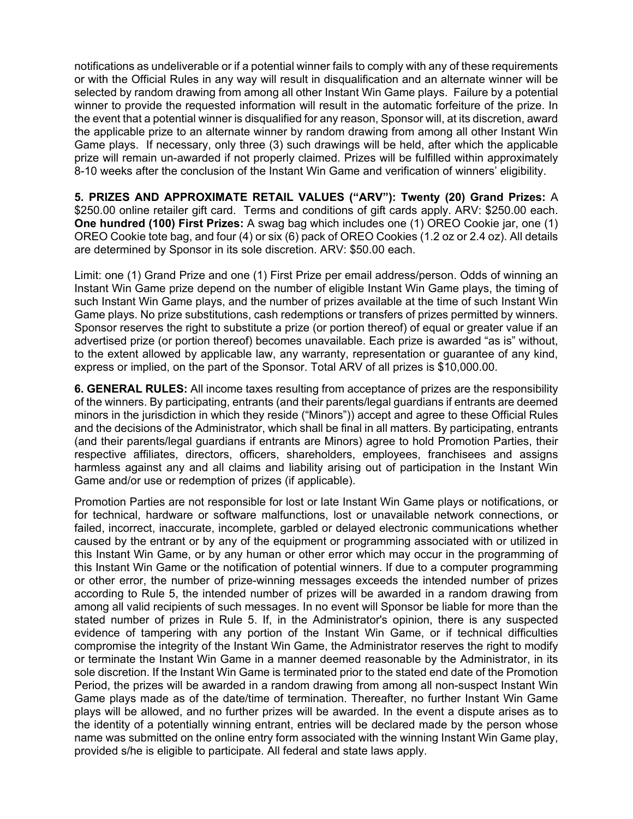notifications as undeliverable or if a potential winner fails to comply with any of these requirements or with the Official Rules in any way will result in disqualification and an alternate winner will be selected by random drawing from among all other Instant Win Game plays. Failure by a potential winner to provide the requested information will result in the automatic forfeiture of the prize. In the event that a potential winner is disqualified for any reason, Sponsor will, at its discretion, award the applicable prize to an alternate winner by random drawing from among all other Instant Win Game plays. If necessary, only three (3) such drawings will be held, after which the applicable prize will remain un-awarded if not properly claimed. Prizes will be fulfilled within approximately 8-10 weeks after the conclusion of the Instant Win Game and verification of winners' eligibility.

**5. PRIZES AND APPROXIMATE RETAIL VALUES ("ARV"): Twenty (20) Grand Prizes:** A \$250.00 online retailer gift card. Terms and conditions of gift cards apply. ARV: \$250.00 each. **One hundred (100) First Prizes:** A swag bag which includes one (1) OREO Cookie jar, one (1) OREO Cookie tote bag, and four (4) or six (6) pack of OREO Cookies (1.2 oz or 2.4 oz). All details are determined by Sponsor in its sole discretion. ARV: \$50.00 each.

Limit: one (1) Grand Prize and one (1) First Prize per email address/person. Odds of winning an Instant Win Game prize depend on the number of eligible Instant Win Game plays, the timing of such Instant Win Game plays, and the number of prizes available at the time of such Instant Win Game plays. No prize substitutions, cash redemptions or transfers of prizes permitted by winners. Sponsor reserves the right to substitute a prize (or portion thereof) of equal or greater value if an advertised prize (or portion thereof) becomes unavailable. Each prize is awarded "as is" without, to the extent allowed by applicable law, any warranty, representation or guarantee of any kind, express or implied, on the part of the Sponsor. Total ARV of all prizes is \$10,000.00.

**6. GENERAL RULES:** All income taxes resulting from acceptance of prizes are the responsibility of the winners. By participating, entrants (and their parents/legal guardians if entrants are deemed minors in the jurisdiction in which they reside ("Minors")) accept and agree to these Official Rules and the decisions of the Administrator, which shall be final in all matters. By participating, entrants (and their parents/legal guardians if entrants are Minors) agree to hold Promotion Parties, their respective affiliates, directors, officers, shareholders, employees, franchisees and assigns harmless against any and all claims and liability arising out of participation in the Instant Win Game and/or use or redemption of prizes (if applicable).

Promotion Parties are not responsible for lost or late Instant Win Game plays or notifications, or for technical, hardware or software malfunctions, lost or unavailable network connections, or failed, incorrect, inaccurate, incomplete, garbled or delayed electronic communications whether caused by the entrant or by any of the equipment or programming associated with or utilized in this Instant Win Game, or by any human or other error which may occur in the programming of this Instant Win Game or the notification of potential winners. If due to a computer programming or other error, the number of prize-winning messages exceeds the intended number of prizes according to Rule 5, the intended number of prizes will be awarded in a random drawing from among all valid recipients of such messages. In no event will Sponsor be liable for more than the stated number of prizes in Rule 5. If, in the Administrator's opinion, there is any suspected evidence of tampering with any portion of the Instant Win Game, or if technical difficulties compromise the integrity of the Instant Win Game, the Administrator reserves the right to modify or terminate the Instant Win Game in a manner deemed reasonable by the Administrator, in its sole discretion. If the Instant Win Game is terminated prior to the stated end date of the Promotion Period, the prizes will be awarded in a random drawing from among all non-suspect Instant Win Game plays made as of the date/time of termination. Thereafter, no further Instant Win Game plays will be allowed, and no further prizes will be awarded. In the event a dispute arises as to the identity of a potentially winning entrant, entries will be declared made by the person whose name was submitted on the online entry form associated with the winning Instant Win Game play, provided s/he is eligible to participate. All federal and state laws apply.